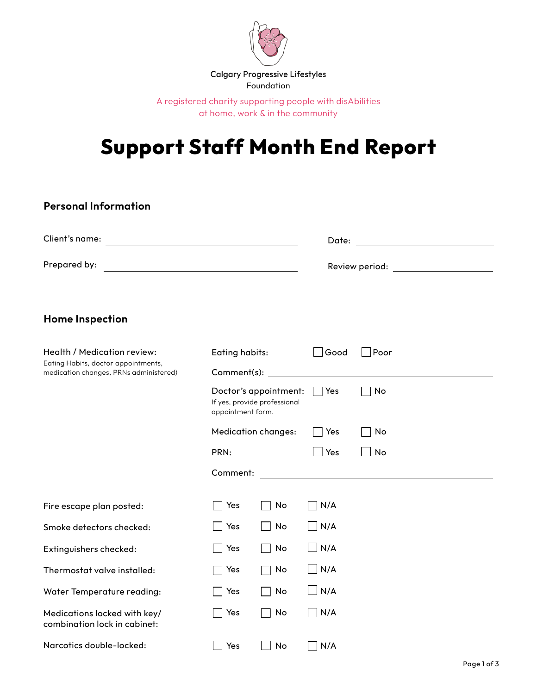

A registered charity supporting people with disAbilities at home, work & in the community

# **Support Staff Month End Report**

| <b>Personal Information</b>                                                                                                          |                                                                            |              |                              |      |  |
|--------------------------------------------------------------------------------------------------------------------------------------|----------------------------------------------------------------------------|--------------|------------------------------|------|--|
| Client's name:<br><u> 1989 - Johann Stoff, Amerikaansk politiker (</u>                                                               |                                                                            |              | Date:                        |      |  |
| Prepared by:<br><u> 1980 - Johann Barn, mars ann an t-Amhain Aonaich an t-Aonaich an t-Aonaich ann an t-Aonaich ann an t-Aonaich</u> |                                                                            |              | Review period: New York 1980 |      |  |
| <b>Home Inspection</b>                                                                                                               |                                                                            |              |                              |      |  |
| Health / Medication review:<br>Eating Habits, doctor appointments,<br>medication changes, PRNs administered)                         | Eating habits:<br>Comment(s):                                              |              | $\Box$ Good                  | Poor |  |
|                                                                                                                                      | Doctor's appointment:<br>If yes, provide professional<br>appointment form. |              | Yes                          | No   |  |
|                                                                                                                                      | <b>Medication changes:</b>                                                 |              | Yes                          | No   |  |
|                                                                                                                                      | PRN:                                                                       |              | Yes                          | No   |  |
|                                                                                                                                      | Comment:                                                                   |              |                              |      |  |
| Fire escape plan posted:                                                                                                             | Yes                                                                        | No           | N/A                          |      |  |
| Smoke detectors checked:                                                                                                             | Yes                                                                        | No           | $\Box$ N/A                   |      |  |
| Extinguishers checked:                                                                                                               | Yes                                                                        | No           | $\Box$ N/A                   |      |  |
| Thermostat valve installed:                                                                                                          | Yes                                                                        | No           | $\Box$ N/A                   |      |  |
| <b>Water Temperature reading:</b>                                                                                                    | $\Box$ Yes                                                                 | $\Box$ No    | $\Box$ N/A                   |      |  |
| Medications locked with key/<br>combination lock in cabinet:                                                                         | Yes                                                                        | No           | $\neg$ N/A                   |      |  |
| Narcotics double-locked:                                                                                                             | $\Box$ Yes                                                                 | No<br>$\Box$ | N/A                          |      |  |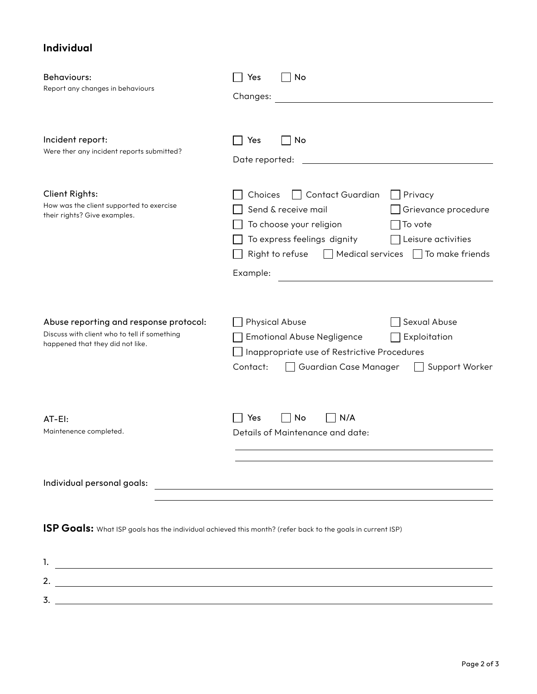## **Individual**

| Behaviours:<br>Report any changes in behaviours                                                                                    | No<br>Yes                                                                                                                                                                                                                                                               |
|------------------------------------------------------------------------------------------------------------------------------------|-------------------------------------------------------------------------------------------------------------------------------------------------------------------------------------------------------------------------------------------------------------------------|
|                                                                                                                                    | Changes:                                                                                                                                                                                                                                                                |
| Incident report:<br>Were ther any incident reports submitted?                                                                      | No<br>Yes<br>Date reported:                                                                                                                                                                                                                                             |
| <b>Client Rights:</b><br>How was the client supported to exercise<br>their rights? Give examples.                                  | <b>Contact Guardian</b><br>Privacy<br>Choices<br>Send & receive mail<br>Grievance procedure<br>To vote<br>To choose your religion<br>Leisure activities<br>To express feelings dignity<br>$\Box$ Medical services $\Box$ To make friends<br>Right to refuse<br>Example: |
| Abuse reporting and response protocol:<br>Discuss with client who to tell if something<br>happened that they did not like.         | Sexual Abuse<br><b>Physical Abuse</b><br><b>Emotional Abuse Negligence</b><br>Exploitation<br>Inappropriate use of Restrictive Procedures<br>Contact:<br>Support Worker<br>Guardian Case Manager                                                                        |
| AT-EI:<br>Maintenence completed.                                                                                                   | Yes<br>No<br>N/A<br>Details of Maintenance and date:                                                                                                                                                                                                                    |
| Individual personal goals:                                                                                                         | <u> 1989 - Johann Stein, marwolaethau a bhann an t-Amhain Aonaichte ann an t-Amhain Aonaichte ann an t-Amhain Aon</u>                                                                                                                                                   |
| ISP Goals: What ISP goals has the individual achieved this month? (refer back to the goals in current ISP)                         |                                                                                                                                                                                                                                                                         |
| 1.<br><u> 1989 - Johann Barn, mars ann an t-Amhainn an t-Amhainn an t-Amhainn an t-Amhainn an t-Amhainn an t-Amhainn an </u><br>2. |                                                                                                                                                                                                                                                                         |

3.